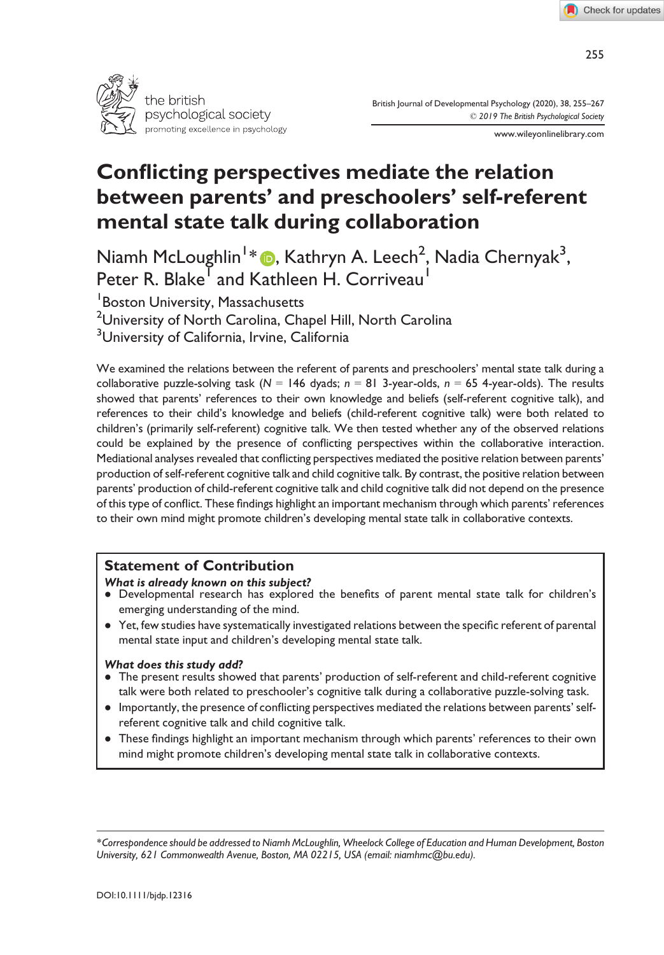

British Journal of Developmental Psychology (2020), 38, 255–267 © 2019 The British Psychological Society

www.wileyonlinelibrary.com

# Conflicting perspectives mediate the relation between parents' and preschoolers' self-referent mental state talk during collaboration

Niamh McLoughlin1 [\\*](https://orcid.org/0000-0002-1754-3680) , Kathryn A. Leech2 , Nadia Chernyak3 , Peter R. Blake<sup>T</sup> and Kathleen H. Corriveau<sup>1</sup>

1 Boston University, Massachusetts

 $^2$ University of North Carolina, Chapel Hill, North Carolina

<sup>3</sup>University of California, Irvine, California

We examined the relations between the referent of parents and preschoolers' mental state talk during a collaborative puzzle-solving task ( $N = 146$  dyads;  $n = 81$  3-year-olds,  $n = 65$  4-year-olds). The results showed that parents' references to their own knowledge and beliefs (self-referent cognitive talk), and references to their child's knowledge and beliefs (child-referent cognitive talk) were both related to children's (primarily self-referent) cognitive talk. We then tested whether any of the observed relations could be explained by the presence of conflicting perspectives within the collaborative interaction. Mediational analyses revealed that conflicting perspectives mediated the positive relation between parents' production of self-referent cognitive talk and child cognitive talk. By contrast, the positive relation between parents' production of child-referent cognitive talk and child cognitive talk did not depend on the presence of this type of conflict. These findings highlight an important mechanism through which parents' references to their own mind might promote children's developing mental state talk in collaborative contexts.

## Statement of Contribution

## What is already known on this subject?

- Developmental research has explored the benefits of parent mental state talk for children's emerging understanding of the mind.
- Yet, few studies have systematically investigated relations between the specific referent of parental mental state input and children's developing mental state talk.

## What does this study add?

- The present results showed that parents' production of self-referent and child-referent cognitive talk were both related to preschooler's cognitive talk during a collaborative puzzle-solving task.
- Importantly, the presence of conflicting perspectives mediated the relations between parents' selfreferent cognitive talk and child cognitive talk.
- These findings highlight an important mechanism through which parents' references to their own mind might promote children's developing mental state talk in collaborative contexts.

<sup>\*</sup>Correspondence should be addressed to Niamh McLoughlin, Wheelock College of Education and Human Development, Boston University, 621 Commonwealth Avenue, Boston, MA 02215, USA (email: [niamhmc@bu.edu](mailto:niamhmc@bu.edu)).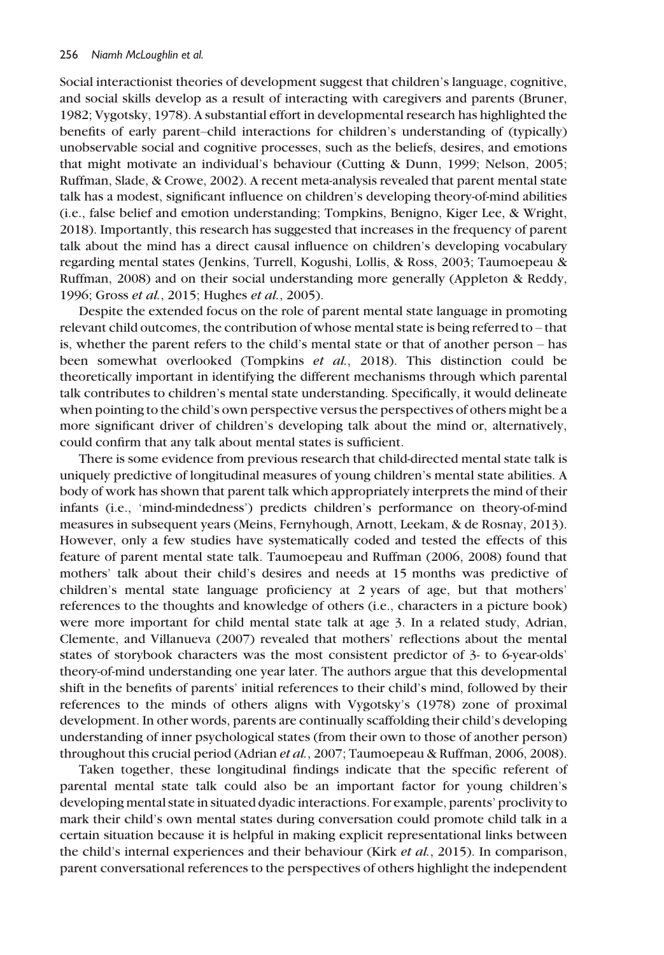Social interactionist theories of development suggest that children's language, cognitive, and social skills develop as a result of interacting with caregivers and parents (Bruner, 1982; Vygotsky, 1978). A substantial effort in developmental research has highlighted the benefits of early parent–child interactions for children's understanding of (typically) unobservable social and cognitive processes, such as the beliefs, desires, and emotions that might motivate an individual's behaviour (Cutting & Dunn, 1999; Nelson, 2005; Ruffman, Slade, & Crowe, 2002). A recent meta-analysis revealed that parent mental state talk has a modest, significant influence on children's developing theory-of-mind abilities (i.e., false belief and emotion understanding; Tompkins, Benigno, Kiger Lee, & Wright, 2018). Importantly, this research has suggested that increases in the frequency of parent talk about the mind has a direct causal influence on children's developing vocabulary regarding mental states (Jenkins, Turrell, Kogushi, Lollis, & Ross, 2003; Taumoepeau & Ruffman, 2008) and on their social understanding more generally (Appleton & Reddy, 1996; Gross et al., 2015; Hughes et al., 2005).

Despite the extended focus on the role of parent mental state language in promoting relevant child outcomes, the contribution of whose mental state is being referred to – that is, whether the parent refers to the child's mental state or that of another person – has been somewhat overlooked (Tompkins et al., 2018). This distinction could be theoretically important in identifying the different mechanisms through which parental talk contributes to children's mental state understanding. Specifically, it would delineate when pointing to the child's own perspective versus the perspectives of others might be a more significant driver of children's developing talk about the mind or, alternatively, could confirm that any talk about mental states is sufficient.

There is some evidence from previous research that child-directed mental state talk is uniquely predictive of longitudinal measures of young children's mental state abilities. A body of work has shown that parent talk which appropriately interprets the mind of their infants (i.e., 'mind-mindedness') predicts children's performance on theory-of-mind measures in subsequent years (Meins, Fernyhough, Arnott, Leekam, & de Rosnay, 2013). However, only a few studies have systematically coded and tested the effects of this feature of parent mental state talk. Taumoepeau and Ruffman (2006, 2008) found that mothers' talk about their child's desires and needs at 15 months was predictive of children's mental state language proficiency at 2 years of age, but that mothers' references to the thoughts and knowledge of others (i.e., characters in a picture book) were more important for child mental state talk at age 3. In a related study, Adrian, Clemente, and Villanueva (2007) revealed that mothers' reflections about the mental states of storybook characters was the most consistent predictor of 3- to 6-year-olds' theory-of-mind understanding one year later. The authors argue that this developmental shift in the benefits of parents' initial references to their child's mind, followed by their references to the minds of others aligns with Vygotsky's (1978) zone of proximal development. In other words, parents are continually scaffolding their child's developing understanding of inner psychological states (from their own to those of another person) throughout this crucial period (Adrian et al., 2007; Taumoepeau & Ruffman, 2006, 2008).

Taken together, these longitudinal findings indicate that the specific referent of parental mental state talk could also be an important factor for young children's developing mental state in situated dyadic interactions. For example, parents' proclivity to mark their child's own mental states during conversation could promote child talk in a certain situation because it is helpful in making explicit representational links between the child's internal experiences and their behaviour (Kirk et al., 2015). In comparison, parent conversational references to the perspectives of others highlight the independent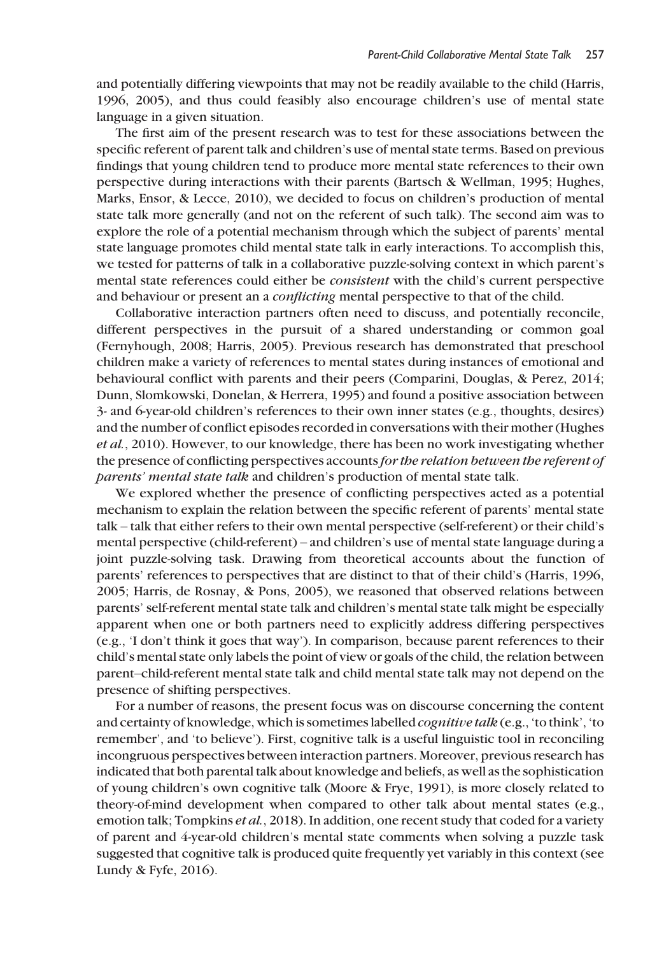and potentially differing viewpoints that may not be readily available to the child (Harris, 1996, 2005), and thus could feasibly also encourage children's use of mental state language in a given situation.

The first aim of the present research was to test for these associations between the specific referent of parent talk and children's use of mental state terms. Based on previous findings that young children tend to produce more mental state references to their own perspective during interactions with their parents (Bartsch & Wellman, 1995; Hughes, Marks, Ensor, & Lecce, 2010), we decided to focus on children's production of mental state talk more generally (and not on the referent of such talk). The second aim was to explore the role of a potential mechanism through which the subject of parents' mental state language promotes child mental state talk in early interactions. To accomplish this, we tested for patterns of talk in a collaborative puzzle-solving context in which parent's mental state references could either be consistent with the child's current perspective and behaviour or present an a *conflicting* mental perspective to that of the child.

Collaborative interaction partners often need to discuss, and potentially reconcile, different perspectives in the pursuit of a shared understanding or common goal (Fernyhough, 2008; Harris, 2005). Previous research has demonstrated that preschool children make a variety of references to mental states during instances of emotional and behavioural conflict with parents and their peers (Comparini, Douglas, & Perez, 2014; Dunn, Slomkowski, Donelan, & Herrera, 1995) and found a positive association between 3- and 6-year-old children's references to their own inner states (e.g., thoughts, desires) and the number of conflict episodes recorded in conversations with their mother (Hughes et al., 2010). However, to our knowledge, there has been no work investigating whether the presence of conflicting perspectives accounts for the relation between the referent of parents' mental state talk and children's production of mental state talk.

We explored whether the presence of conflicting perspectives acted as a potential mechanism to explain the relation between the specific referent of parents' mental state talk – talk that either refers to their own mental perspective (self-referent) or their child's mental perspective (child-referent) – and children's use of mental state language during a joint puzzle-solving task. Drawing from theoretical accounts about the function of parents' references to perspectives that are distinct to that of their child's (Harris, 1996, 2005; Harris, de Rosnay, & Pons, 2005), we reasoned that observed relations between parents' self-referent mental state talk and children's mental state talk might be especially apparent when one or both partners need to explicitly address differing perspectives (e.g., 'I don't think it goes that way'). In comparison, because parent references to their child's mental state only labels the point of view or goals of the child, the relation between parent–child-referent mental state talk and child mental state talk may not depend on the presence of shifting perspectives.

For a number of reasons, the present focus was on discourse concerning the content and certainty of knowledge, which is sometimes labelled *cognitive talk* (e.g., 'to think', 'to remember', and 'to believe'). First, cognitive talk is a useful linguistic tool in reconciling incongruous perspectives between interaction partners. Moreover, previous research has indicated that both parental talk about knowledge and beliefs, as well as the sophistication of young children's own cognitive talk (Moore & Frye, 1991), is more closely related to theory-of-mind development when compared to other talk about mental states (e.g., emotion talk; Tompkins *et al.*, 2018). In addition, one recent study that coded for a variety of parent and 4-year-old children's mental state comments when solving a puzzle task suggested that cognitive talk is produced quite frequently yet variably in this context (see Lundy & Fyfe, 2016).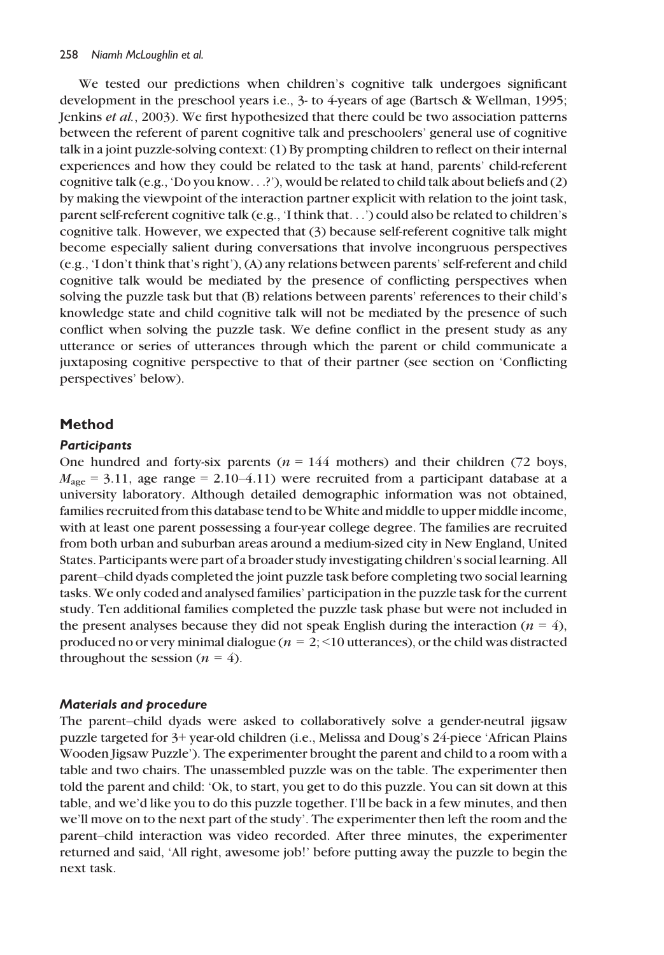We tested our predictions when children's cognitive talk undergoes significant development in the preschool years i.e., 3- to 4-years of age (Bartsch & Wellman, 1995; Jenkins et al., 2003). We first hypothesized that there could be two association patterns between the referent of parent cognitive talk and preschoolers' general use of cognitive talk in a joint puzzle-solving context: (1) By prompting children to reflect on their internal experiences and how they could be related to the task at hand, parents' child-referent cognitive talk (e.g., 'Do you know...?'), would be related to child talk about beliefs and (2) by making the viewpoint of the interaction partner explicit with relation to the joint task, parent self-referent cognitive talk (e.g., 'I think that...') could also be related to children's cognitive talk. However, we expected that (3) because self-referent cognitive talk might become especially salient during conversations that involve incongruous perspectives (e.g., 'I don't think that's right'), (A) any relations between parents' self-referent and child cognitive talk would be mediated by the presence of conflicting perspectives when solving the puzzle task but that (B) relations between parents' references to their child's knowledge state and child cognitive talk will not be mediated by the presence of such conflict when solving the puzzle task. We define conflict in the present study as any utterance or series of utterances through which the parent or child communicate a juxtaposing cognitive perspective to that of their partner (see section on 'Conflicting perspectives' below).

## Method

## **Participants**

One hundred and forty-six parents ( $n = 144$  mothers) and their children (72 boys,  $M_{\text{age}} = 3.11$ , age range = 2.10–4.11) were recruited from a participant database at a university laboratory. Although detailed demographic information was not obtained, families recruited from this database tend to be White and middle to upper middle income, with at least one parent possessing a four-year college degree. The families are recruited from both urban and suburban areas around a medium-sized city in New England, United States. Participants were part of a broader study investigating children's social learning. All parent–child dyads completed the joint puzzle task before completing two social learning tasks. We only coded and analysed families' participation in the puzzle task for the current study. Ten additional families completed the puzzle task phase but were not included in the present analyses because they did not speak English during the interaction ( $n = 4$ ), produced no or very minimal dialogue ( $n = 2$ ; <10 utterances), or the child was distracted throughout the session ( $n = 4$ ).

## Materials and procedure

The parent–child dyads were asked to collaboratively solve a gender-neutral jigsaw puzzle targeted for 3+ year-old children (i.e., Melissa and Doug's 24-piece 'African Plains Wooden Jigsaw Puzzle'). The experimenter brought the parent and child to a room with a table and two chairs. The unassembled puzzle was on the table. The experimenter then told the parent and child: 'Ok, to start, you get to do this puzzle. You can sit down at this table, and we'd like you to do this puzzle together. I'll be back in a few minutes, and then we'll move on to the next part of the study'. The experimenter then left the room and the parent–child interaction was video recorded. After three minutes, the experimenter returned and said, 'All right, awesome job!' before putting away the puzzle to begin the next task.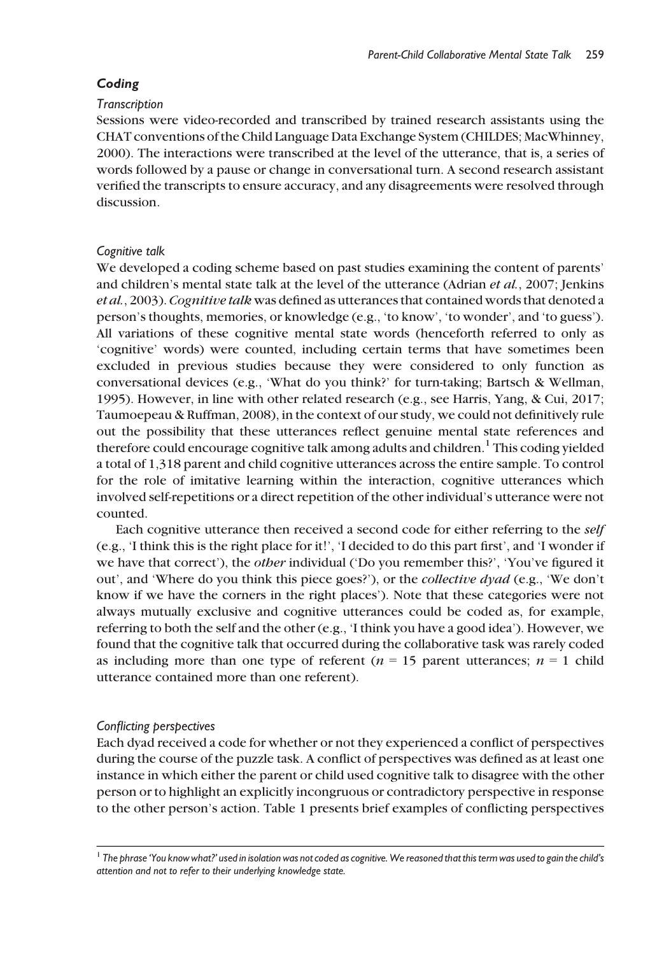## Coding

#### **Transcription**

Sessions were video-recorded and transcribed by trained research assistants using the CHAT conventions of the Child Language Data Exchange System (CHILDES; MacWhinney, 2000). The interactions were transcribed at the level of the utterance, that is, a series of words followed by a pause or change in conversational turn. A second research assistant verified the transcripts to ensure accuracy, and any disagreements were resolved through discussion.

## Cognitive talk

We developed a coding scheme based on past studies examining the content of parents' and children's mental state talk at the level of the utterance (Adrian et al., 2007; Jenkins et al., 2003). Cognitive talk was defined as utterances that contained words that denoted a person's thoughts, memories, or knowledge (e.g., 'to know', 'to wonder', and 'to guess'). All variations of these cognitive mental state words (henceforth referred to only as 'cognitive' words) were counted, including certain terms that have sometimes been excluded in previous studies because they were considered to only function as conversational devices (e.g., 'What do you think?' for turn-taking; Bartsch & Wellman, 1995). However, in line with other related research (e.g., see Harris, Yang, & Cui, 2017; Taumoepeau & Ruffman, 2008), in the context of our study, we could not definitively rule out the possibility that these utterances reflect genuine mental state references and therefore could encourage cognitive talk among adults and children.<sup>1</sup> This coding yielded a total of 1,318 parent and child cognitive utterances across the entire sample. To control for the role of imitative learning within the interaction, cognitive utterances which involved self-repetitions or a direct repetition of the other individual's utterance were not counted.

Each cognitive utterance then received a second code for either referring to the self (e.g., 'I think this is the right place for it!', 'I decided to do this part first', and 'I wonder if we have that correct'), the *other* individual ('Do you remember this?', 'You've figured it out', and 'Where do you think this piece goes?'), or the collective dyad (e.g., 'We don't know if we have the corners in the right places'). Note that these categories were not always mutually exclusive and cognitive utterances could be coded as, for example, referring to both the self and the other (e.g., 'I think you have a good idea'). However, we found that the cognitive talk that occurred during the collaborative task was rarely coded as including more than one type of referent ( $n = 15$  parent utterances;  $n = 1$  child utterance contained more than one referent).

## Conflicting perspectives

Each dyad received a code for whether or not they experienced a conflict of perspectives during the course of the puzzle task. A conflict of perspectives was defined as at least one instance in which either the parent or child used cognitive talk to disagree with the other person or to highlight an explicitly incongruous or contradictory perspective in response to the other person's action. Table 1 presents brief examples of conflicting perspectives

 $^1$  The phrase 'You know what?' used in isolation was not coded as cognitive. We reasoned that this term was used to gain the child's attention and not to refer to their underlying knowledge state.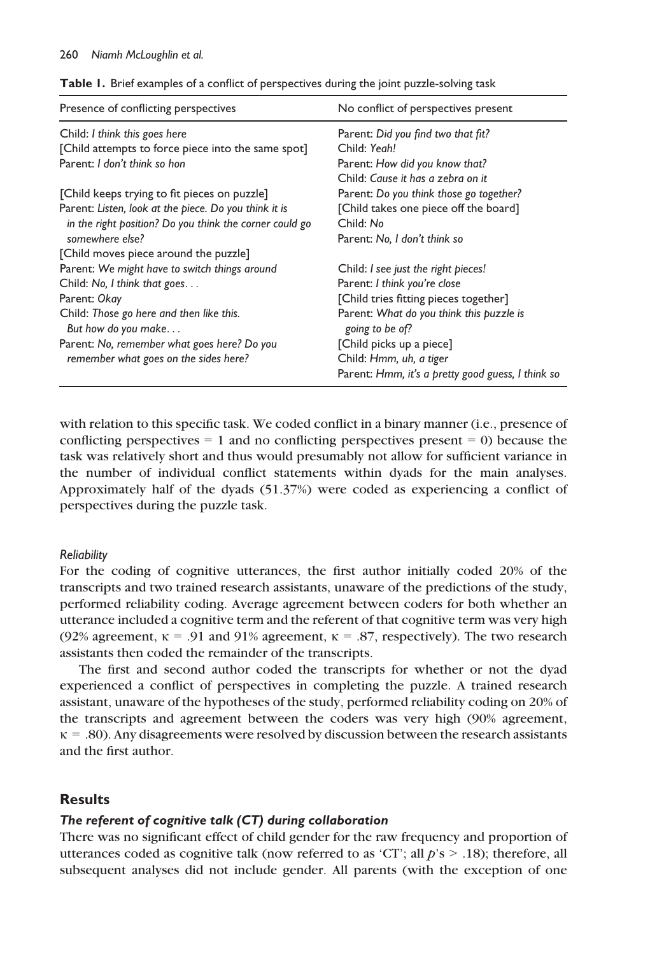| Presence of conflicting perspectives                                                 | No conflict of perspectives present                         |  |
|--------------------------------------------------------------------------------------|-------------------------------------------------------------|--|
| Child: I think this goes here                                                        | Parent: Did you find two that fit?                          |  |
| [Child attempts to force piece into the same spot]                                   | Child: Yeah!                                                |  |
| Parent: I don't think so hon                                                         | Parent: How did you know that?                              |  |
|                                                                                      | Child: Cause it has a zebra on it                           |  |
| [Child keeps trying to fit pieces on puzzle]                                         | Parent: Do you think those go together?                     |  |
| Parent: Listen, look at the piece. Do you think it is                                | [Child takes one piece off the board]                       |  |
| in the right position? Do you think the corner could go                              | Child: No                                                   |  |
| somewhere else?                                                                      | Parent: No, I don't think so                                |  |
| [Child moves piece around the puzzle]                                                |                                                             |  |
| Parent: We might have to switch things around                                        | Child: I see just the right pieces!                         |  |
| Child: $No, I$ think that goes                                                       | Parent: I think you're close                                |  |
| Parent: Okay                                                                         | [Child tries fitting pieces together]                       |  |
| Child: Those go here and then like this.<br>But how do you make                      | Parent: What do you think this puzzle is<br>going to be of? |  |
| Parent: No, remember what goes here? Do you<br>remember what goes on the sides here? | [Child picks up a piece]                                    |  |
|                                                                                      | Child: Hmm, uh, a tiger                                     |  |
|                                                                                      | Parent: Hmm, it's a pretty good guess, I think so           |  |

Table 1. Brief examples of a conflict of perspectives during the joint puzzle-solving task

with relation to this specific task. We coded conflict in a binary manner (i.e., presence of conflicting perspectives  $= 1$  and no conflicting perspectives present  $= 0$ ) because the task was relatively short and thus would presumably not allow for sufficient variance in the number of individual conflict statements within dyads for the main analyses. Approximately half of the dyads (51.37%) were coded as experiencing a conflict of perspectives during the puzzle task.

#### **Reliability**

For the coding of cognitive utterances, the first author initially coded 20% of the transcripts and two trained research assistants, unaware of the predictions of the study, performed reliability coding. Average agreement between coders for both whether an utterance included a cognitive term and the referent of that cognitive term was very high (92% agreement,  $\kappa = .91$  and 91% agreement,  $\kappa = .87$ , respectively). The two research assistants then coded the remainder of the transcripts.

The first and second author coded the transcripts for whether or not the dyad experienced a conflict of perspectives in completing the puzzle. A trained research assistant, unaware of the hypotheses of the study, performed reliability coding on 20% of the transcripts and agreement between the coders was very high (90% agreement,  $\kappa$  = .80). Any disagreements were resolved by discussion between the research assistants and the first author.

## **Results**

#### The referent of cognitive talk (CT) during collaboration

There was no significant effect of child gender for the raw frequency and proportion of utterances coded as cognitive talk (now referred to as 'CT'; all  $p$ 's  $>$  .18); therefore, all subsequent analyses did not include gender. All parents (with the exception of one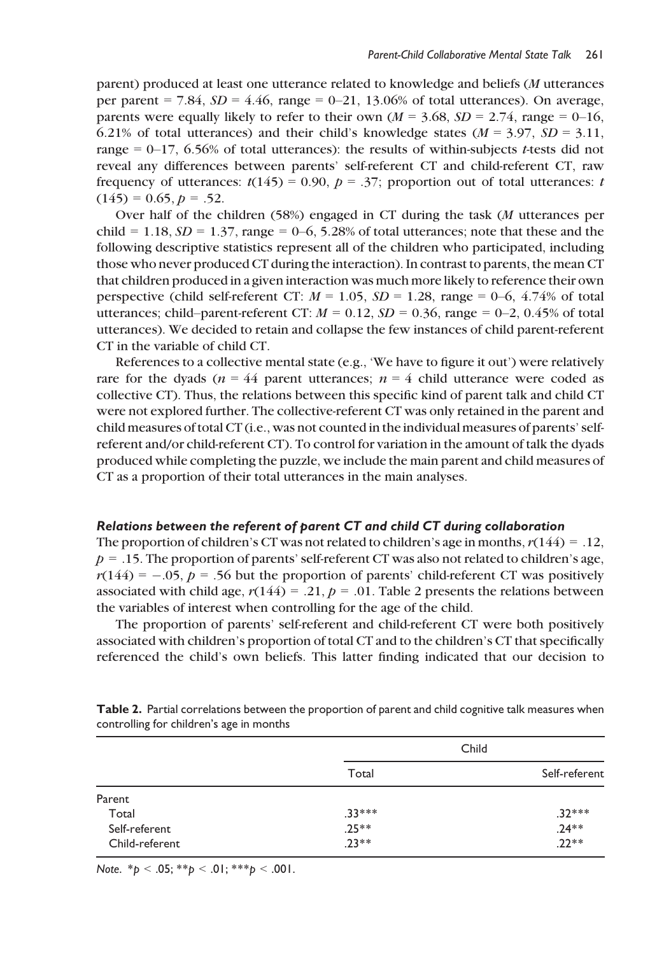parent) produced at least one utterance related to knowledge and beliefs (M utterances per parent  $= 7.84$ ,  $SD = 4.46$ , range  $= 0-21$ , 13.06% of total utterances). On average, parents were equally likely to refer to their own ( $M = 3.68$ ,  $SD = 2.74$ , range = 0–16, 6.21% of total utterances) and their child's knowledge states ( $M = 3.97$ ,  $SD = 3.11$ , range  $= 0-17$ , 6.56% of total utterances): the results of within-subjects *t*-tests did not reveal any differences between parents' self-referent CT and child-referent CT, raw frequency of utterances:  $t(145) = 0.90$ ,  $p = .37$ ; proportion out of total utterances: t  $(145) = 0.65, p = .52.$ 

Over half of the children  $(58%)$  engaged in CT during the task (*M* utterances per child = 1.18,  $SD = 1.37$ , range = 0–6, 5.28% of total utterances; note that these and the following descriptive statistics represent all of the children who participated, including those who never produced CT during the interaction). In contrast to parents, the mean CT that children produced in a given interaction was much more likely to reference their own perspective (child self-referent CT:  $M = 1.05$ ,  $SD = 1.28$ , range = 0–6, 4.74% of total utterances; child–parent-referent CT:  $M = 0.12$ ,  $SD = 0.36$ , range = 0–2, 0.45% of total utterances). We decided to retain and collapse the few instances of child parent-referent CT in the variable of child CT.

References to a collective mental state (e.g., 'We have to figure it out') were relatively rare for the dyads ( $n = 44$  parent utterances;  $n = 4$  child utterance were coded as collective CT). Thus, the relations between this specific kind of parent talk and child CT were not explored further. The collective-referent CT was only retained in the parent and child measures of total CT (i.e., was not counted in the individual measures of parents' selfreferent and/or child-referent CT). To control for variation in the amount of talk the dyads produced while completing the puzzle, we include the main parent and child measures of CT as a proportion of their total utterances in the main analyses.

#### Relations between the referent of parent CT and child CT during collaboration

The proportion of children's CT was not related to children's age in months,  $r(144) = .12$ ,  $p = .15$ . The proportion of parents' self-referent CT was also not related to children's age,  $r(144) = -.05$ ,  $p = .56$  but the proportion of parents' child-referent CT was positively associated with child age,  $r(144) = .21$ ,  $p = .01$ . Table 2 presents the relations between the variables of interest when controlling for the age of the child.

The proportion of parents' self-referent and child-referent CT were both positively associated with children's proportion of total CT and to the children's CT that specifically referenced the child's own beliefs. This latter finding indicated that our decision to

|                | Child    |               |
|----------------|----------|---------------|
|                | Total    | Self-referent |
| Parent         |          |               |
| Total          | $.33***$ | $.32***$      |
| Self-referent  | $.25**$  | $.24**$       |
| Child-referent | $.23**$  | $.22**$       |

Table 2. Partial correlations between the proportion of parent and child cognitive talk measures when controlling for children's age in months

Note.  $*_{p}$  < .05;  $*_{p}$  < .01;  $*_{p}$  < .001.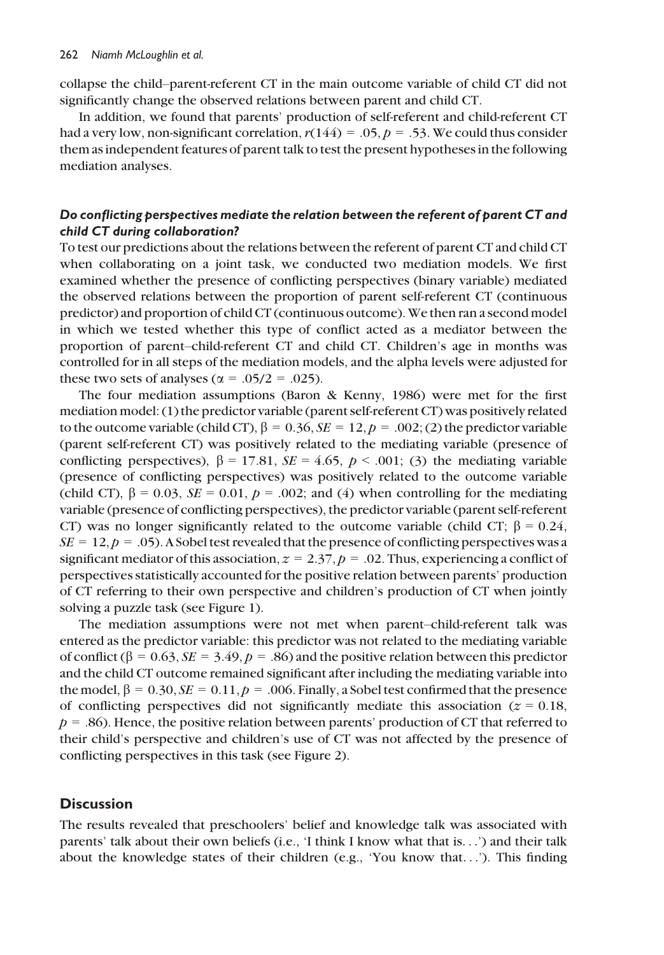collapse the child–parent-referent CT in the main outcome variable of child CT did not significantly change the observed relations between parent and child CT.

In addition, we found that parents' production of self-referent and child-referent CT had a very low, non-significant correlation,  $r(144) = .05$ ,  $p = .53$ . We could thus consider them as independent features of parent talk to test the present hypotheses in the following mediation analyses.

## Do conflicting perspectives mediate the relation between the referent of parent CT and child CT during collaboration?

To test our predictions about the relations between the referent of parent CT and child CT when collaborating on a joint task, we conducted two mediation models. We first examined whether the presence of conflicting perspectives (binary variable) mediated the observed relations between the proportion of parent self-referent CT (continuous predictor) and proportion of child CT (continuous outcome). We then ran a second model in which we tested whether this type of conflict acted as a mediator between the proportion of parent–child-referent CT and child CT. Children's age in months was controlled for in all steps of the mediation models, and the alpha levels were adjusted for these two sets of analyses ( $\alpha$  = .05/2 = .025).

The four mediation assumptions (Baron & Kenny, 1986) were met for the first mediation model: (1) the predictor variable (parent self-referent CT) was positively related to the outcome variable (child CT),  $\beta = 0.36$ ,  $SE = 12$ ,  $p = .002$ ; (2) the predictor variable (parent self-referent CT) was positively related to the mediating variable (presence of conflicting perspectives),  $\beta = 17.81$ ,  $SE = 4.65$ ,  $p < .001$ ; (3) the mediating variable (presence of conflicting perspectives) was positively related to the outcome variable (child CT),  $\beta = 0.03$ ,  $SE = 0.01$ ,  $p = .002$ ; and (4) when controlling for the mediating variable (presence of conflicting perspectives), the predictor variable (parent self-referent CT) was no longer significantly related to the outcome variable (child CT;  $\beta = 0.24$ ,  $SE = 12$ ,  $p = .05$ ). A Sobel test revealed that the presence of conflicting perspectives was a significant mediator of this association,  $z = 2.37$ ,  $p = .02$ . Thus, experiencing a conflict of perspectives statistically accounted for the positive relation between parents' production of CT referring to their own perspective and children's production of CT when jointly solving a puzzle task (see Figure 1).

The mediation assumptions were not met when parent–child-referent talk was entered as the predictor variable: this predictor was not related to the mediating variable of conflict ( $\beta = 0.63$ ,  $SE = 3.49$ ,  $p = .86$ ) and the positive relation between this predictor and the child CT outcome remained significant after including the mediating variable into the model,  $\beta = 0.30, \mathit{SE} = 0.11, \rho = .006$ . Finally, a Sobel test confirmed that the presence of conflicting perspectives did not significantly mediate this association ( $z = 0.18$ ,  $p = 0.86$ . Hence, the positive relation between parents' production of CT that referred to their child's perspective and children's use of CT was not affected by the presence of conflicting perspectives in this task (see Figure 2).

## **Discussion**

The results revealed that preschoolers' belief and knowledge talk was associated with parents' talk about their own beliefs (i.e., 'I think I know what that is...') and their talk about the knowledge states of their children (e.g., 'You know that...'). This finding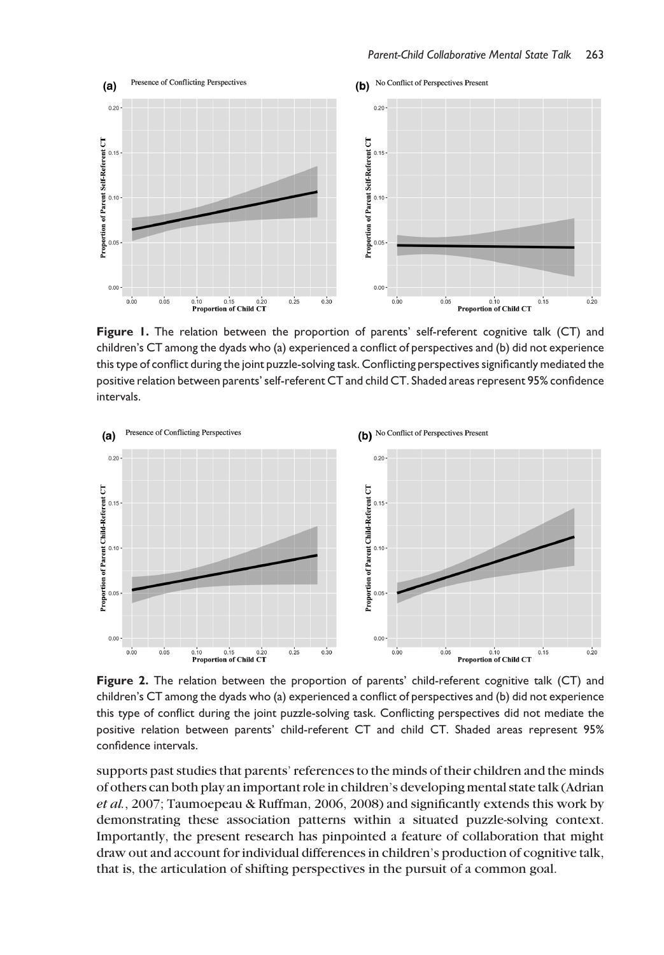

Figure 1. The relation between the proportion of parents' self-referent cognitive talk (CT) and children's CT among the dyads who (a) experienced a conflict of perspectives and (b) did not experience this type of conflict during the joint puzzle-solving task. Conflicting perspectives significantly mediated the positive relation between parents' self-referent CT and child CT. Shaded areas represent 95% confidence intervals.



Figure 2. The relation between the proportion of parents' child-referent cognitive talk (CT) and children's CT among the dyads who (a) experienced a conflict of perspectives and (b) did not experience this type of conflict during the joint puzzle-solving task. Conflicting perspectives did not mediate the positive relation between parents' child-referent CT and child CT. Shaded areas represent 95% confidence intervals.

supports past studies that parents' references to the minds of their children and the minds of others can both play an important role in children's developing mental state talk (Adrian et al., 2007; Taumoepeau & Ruffman, 2006, 2008) and significantly extends this work by demonstrating these association patterns within a situated puzzle-solving context. Importantly, the present research has pinpointed a feature of collaboration that might draw out and account for individual differences in children's production of cognitive talk, that is, the articulation of shifting perspectives in the pursuit of a common goal.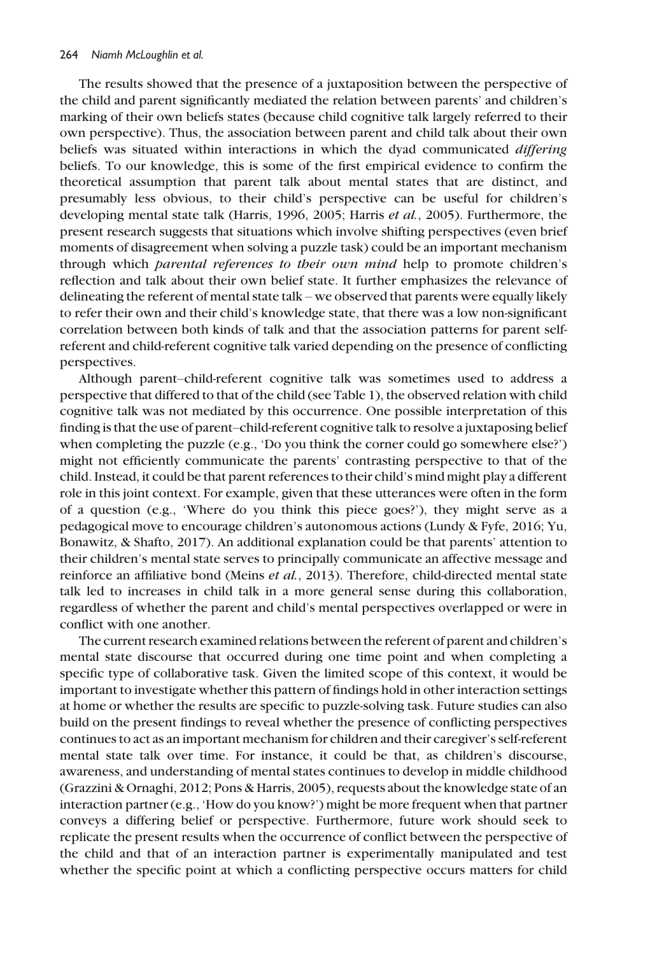The results showed that the presence of a juxtaposition between the perspective of the child and parent significantly mediated the relation between parents' and children's marking of their own beliefs states (because child cognitive talk largely referred to their own perspective). Thus, the association between parent and child talk about their own beliefs was situated within interactions in which the dyad communicated *differing* beliefs. To our knowledge, this is some of the first empirical evidence to confirm the theoretical assumption that parent talk about mental states that are distinct, and presumably less obvious, to their child's perspective can be useful for children's developing mental state talk (Harris, 1996, 2005; Harris et al., 2005). Furthermore, the present research suggests that situations which involve shifting perspectives (even brief moments of disagreement when solving a puzzle task) could be an important mechanism through which *parental references to their own mind* help to promote children's reflection and talk about their own belief state. It further emphasizes the relevance of delineating the referent of mental state talk – we observed that parents were equally likely to refer their own and their child's knowledge state, that there was a low non-significant correlation between both kinds of talk and that the association patterns for parent selfreferent and child-referent cognitive talk varied depending on the presence of conflicting perspectives.

Although parent–child-referent cognitive talk was sometimes used to address a perspective that differed to that of the child (see Table 1), the observed relation with child cognitive talk was not mediated by this occurrence. One possible interpretation of this finding is that the use of parent–child-referent cognitive talk to resolve a juxtaposing belief when completing the puzzle (e.g., 'Do you think the corner could go somewhere else?') might not efficiently communicate the parents' contrasting perspective to that of the child. Instead, it could be that parent references to their child's mind might play a different role in this joint context. For example, given that these utterances were often in the form of a question (e.g., 'Where do you think this piece goes?'), they might serve as a pedagogical move to encourage children's autonomous actions (Lundy & Fyfe, 2016; Yu, Bonawitz, & Shafto, 2017). An additional explanation could be that parents' attention to their children's mental state serves to principally communicate an affective message and reinforce an affiliative bond (Meins et al., 2013). Therefore, child-directed mental state talk led to increases in child talk in a more general sense during this collaboration, regardless of whether the parent and child's mental perspectives overlapped or were in conflict with one another.

The current research examined relations between the referent of parent and children's mental state discourse that occurred during one time point and when completing a specific type of collaborative task. Given the limited scope of this context, it would be important to investigate whether this pattern of findings hold in other interaction settings at home or whether the results are specific to puzzle-solving task. Future studies can also build on the present findings to reveal whether the presence of conflicting perspectives continues to act as an important mechanism for children and their caregiver's self-referent mental state talk over time. For instance, it could be that, as children's discourse, awareness, and understanding of mental states continues to develop in middle childhood (Grazzini & Ornaghi, 2012; Pons & Harris, 2005), requests about the knowledge state of an interaction partner (e.g., 'How do you know?') might be more frequent when that partner conveys a differing belief or perspective. Furthermore, future work should seek to replicate the present results when the occurrence of conflict between the perspective of the child and that of an interaction partner is experimentally manipulated and test whether the specific point at which a conflicting perspective occurs matters for child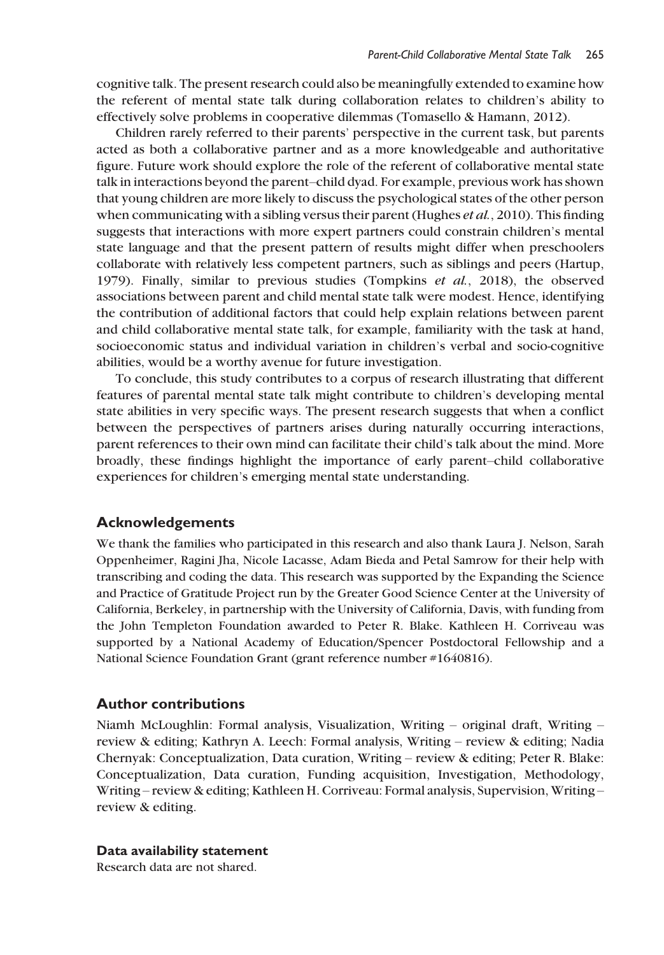cognitive talk. The present research could also be meaningfully extended to examine how the referent of mental state talk during collaboration relates to children's ability to effectively solve problems in cooperative dilemmas (Tomasello & Hamann, 2012).

Children rarely referred to their parents' perspective in the current task, but parents acted as both a collaborative partner and as a more knowledgeable and authoritative figure. Future work should explore the role of the referent of collaborative mental state talk in interactions beyond the parent–child dyad. For example, previous work has shown that young children are more likely to discuss the psychological states of the other person when communicating with a sibling versus their parent (Hughes *et al.*, 2010). This finding suggests that interactions with more expert partners could constrain children's mental state language and that the present pattern of results might differ when preschoolers collaborate with relatively less competent partners, such as siblings and peers (Hartup, 1979). Finally, similar to previous studies (Tompkins et al., 2018), the observed associations between parent and child mental state talk were modest. Hence, identifying the contribution of additional factors that could help explain relations between parent and child collaborative mental state talk, for example, familiarity with the task at hand, socioeconomic status and individual variation in children's verbal and socio-cognitive abilities, would be a worthy avenue for future investigation.

To conclude, this study contributes to a corpus of research illustrating that different features of parental mental state talk might contribute to children's developing mental state abilities in very specific ways. The present research suggests that when a conflict between the perspectives of partners arises during naturally occurring interactions, parent references to their own mind can facilitate their child's talk about the mind. More broadly, these findings highlight the importance of early parent–child collaborative experiences for children's emerging mental state understanding.

## Acknowledgements

We thank the families who participated in this research and also thank Laura J. Nelson, Sarah Oppenheimer, Ragini Jha, Nicole Lacasse, Adam Bieda and Petal Samrow for their help with transcribing and coding the data. This research was supported by the Expanding the Science and Practice of Gratitude Project run by the Greater Good Science Center at the University of California, Berkeley, in partnership with the University of California, Davis, with funding from the John Templeton Foundation awarded to Peter R. Blake. Kathleen H. Corriveau was supported by a National Academy of Education/Spencer Postdoctoral Fellowship and a National Science Foundation Grant (grant reference number #1640816).

## Author contributions

Niamh McLoughlin: Formal analysis, Visualization, Writing – original draft, Writing – review & editing; Kathryn A. Leech: Formal analysis, Writing – review & editing; Nadia Chernyak: Conceptualization, Data curation, Writing – review & editing; Peter R. Blake: Conceptualization, Data curation, Funding acquisition, Investigation, Methodology, Writing – review & editing; Kathleen H. Corriveau: Formal analysis, Supervision, Writing – review & editing.

#### Data availability statement

Research data are not shared.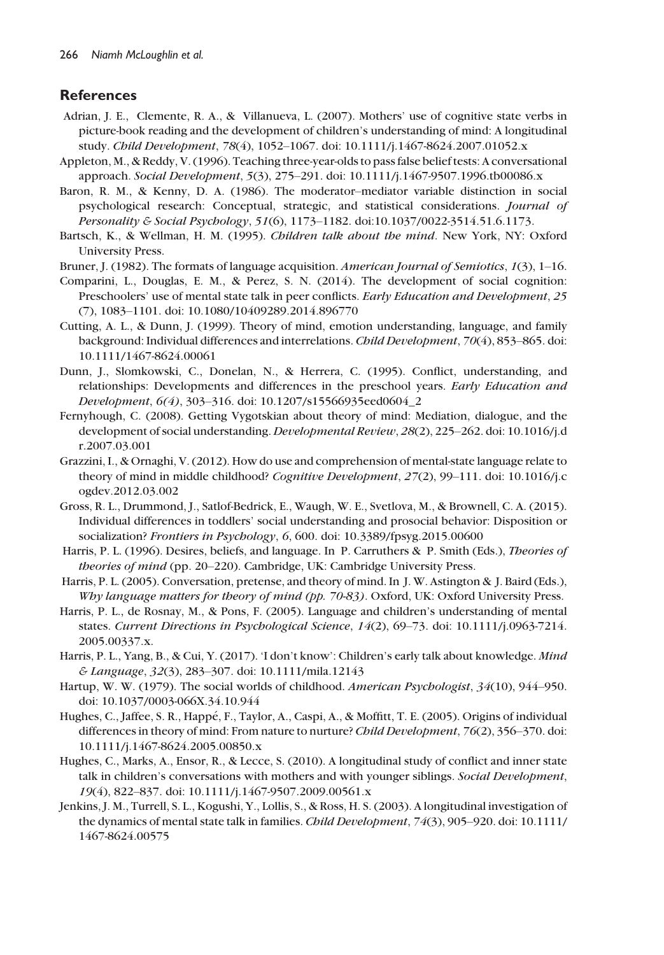## **References**

- Adrian, J. E., Clemente, R. A., & Villanueva, L. (2007). Mothers' use of cognitive state verbs in picture-book reading and the development of children's understanding of mind: A longitudinal study. Child Development, 78(4), 1052–1067. doi: [10.1111/j.1467-8624.2007.01052.x](https://doi.org/10.1111/j.1467-8624.2007.01052.x)
- Appleton, M., & Reddy, V. (1996). Teaching three-year-olds to pass false belief tests: A conversational approach. Social Development, 5(3), 275–291. [doi: 10.1111/j.1467-9507.1996.tb00086.x](https://doi.org/10.1111/j.1467-9507.1996.tb00086.x)
- Baron, R. M., & Kenny, D. A. (1986). The moderator–mediator variable distinction in social psychological research: Conceptual, strategic, and statistical considerations. Journal of Personality & Social Psychology, 51(6), 1173–1182. [doi:10.1037/0022-3514.51.6.1173](https://doi.org/10.1037/0022-3514.51.6.1173).
- Bartsch, K., & Wellman, H. M. (1995). Children talk about the mind. New York, NY: Oxford University Press.
- Bruner, J. (1982). The formats of language acquisition. American Journal of Semiotics, 1(3), 1–16.
- Comparini, L., Douglas, E. M., & Perez, S. N. (2014). The development of social cognition: Preschoolers' use of mental state talk in peer conflicts. Early Education and Development, 25 (7), 1083–1101. doi: [10.1080/10409289.2014.896770](https://doi.org/10.1080/10409289.2014.896770)
- Cutting, A. L., & Dunn, J. (1999). Theory of mind, emotion understanding, language, and family background: Individual differences and interrelations. Child Development, 70(4), 853–865. doi: [10.1111/1467-8624.00061](https://doi.org/10.1111/1467-8624.00061)
- Dunn, J., Slomkowski, C., Donelan, N., & Herrera, C. (1995). Conflict, understanding, and relationships: Developments and differences in the preschool years. Early Education and Development, 6(4), 303–316. doi: [10.1207/s15566935eed0604\\_2](https://doi.org/10.1207/s15566935eed0604_2)
- Fernyhough, C. (2008). Getting Vygotskian about theory of mind: Mediation, dialogue, and the development of social understanding. Developmental Review, 28(2), 225–262. doi: [10.1016/j.d](https://doi.org/10.1016/j.dr.2007.03.001) [r.2007.03.001](https://doi.org/10.1016/j.dr.2007.03.001)
- Grazzini, I., & Ornaghi, V. (2012). How do use and comprehension of mental-state language relate to theory of mind in middle childhood? Cognitive Development, 27(2), 99-111. doi: [10.1016/j.c](https://doi.org/10.1016/j.cogdev.2012.03.002) [ogdev.2012.03.002](https://doi.org/10.1016/j.cogdev.2012.03.002)
- Gross, R. L., Drummond, J., Satlof-Bedrick, E., Waugh, W. E., Svetlova, M., & Brownell, C. A. (2015). Individual differences in toddlers' social understanding and prosocial behavior: Disposition or socialization? Frontiers in Psychology, 6, 600. doi: [10.3389/fpsyg.2015.00600](https://doi.org/10.3389/fpsyg.2015.00600)
- Harris, P. L. (1996). Desires, beliefs, and language. In P. Carruthers & P. Smith (Eds.), Theories of theories of mind (pp. 20–220). Cambridge, UK: Cambridge University Press.
- Harris, P. L. (2005). Conversation, pretense, and theory of mind. In J. W. Astington & J. Baird (Eds.), Why language matters for theory of mind (pp. 70-83). Oxford, UK: Oxford University Press.
- Harris, P. L., de Rosnay, M., & Pons, F. (2005). Language and children's understanding of mental states. Current Directions in Psychological Science, 14(2), 69–73. doi: [10.1111/j.0963-7214.](https://doi.org/10.1111/j.0963-7214.2005.00337.x) [2005.00337.x.](https://doi.org/10.1111/j.0963-7214.2005.00337.x)
- Harris, P. L., Yang, B., & Cui, Y. (2017). 'I don't know': Children's early talk about knowledge. Mind & Language, 32(3), 283–307. doi: [10.1111/mila.12143](https://doi.org/10.1111/mila.12143)
- Hartup, W. W. (1979). The social worlds of childhood. American Psychologist,  $34(10)$ ,  $944-950$ . doi: [10.1037/0003-066X.34.10.944](https://doi.org/10.1037/0003-066X.34.10.944)
- Hughes, C., Jaffee, S. R., Happé, F., Taylor, A., Caspi, A., & Moffitt, T. E. (2005). Origins of individual differences in theory of mind: From nature to nurture? Child Development, 76(2), 356–370. doi: [10.1111/j.1467-8624.2005.00850.x](https://doi.org/10.1111/j.1467-8624.2005.00850.x)
- Hughes, C., Marks, A., Ensor, R., & Lecce, S. (2010). A longitudinal study of conflict and inner state talk in children's conversations with mothers and with younger siblings. Social Development, 19(4), 822–837. doi: [10.1111/j.1467-9507.2009.00561.x](https://doi.org/10.1111/j.1467-9507.2009.00561.x)
- Jenkins, J. M., Turrell, S. L., Kogushi, Y., Lollis, S., & Ross, H. S. (2003). A longitudinal investigation of the dynamics of mental state talk in families. Child Development, 74(3), 905-920. doi: [10.1111/](httsp://doi.org/10.1111/1467-8624.00575) [1467-8624.00575](httsp://doi.org/10.1111/1467-8624.00575)